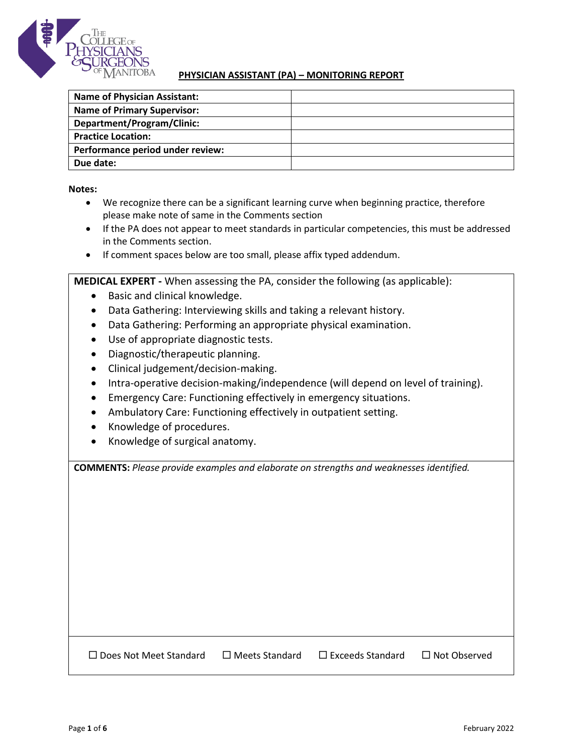

## **PHYSICIAN ASSISTANT (PA) – MONITORING REPORT**

| <b>Name of Physician Assistant:</b> |  |
|-------------------------------------|--|
| <b>Name of Primary Supervisor:</b>  |  |
| Department/Program/Clinic:          |  |
| <b>Practice Location:</b>           |  |
| Performance period under review:    |  |
| Due date:                           |  |

**Notes:**

- We recognize there can be a significant learning curve when beginning practice, therefore please make note of same in the Comments section
- If the PA does not appear to meet standards in particular competencies, this must be addressed in the Comments section.
- If comment spaces below are too small, please affix typed addendum.

**MEDICAL EXPERT -** When assessing the PA, consider the following (as applicable):

- Basic and clinical knowledge.
- Data Gathering: Interviewing skills and taking a relevant history.
- Data Gathering: Performing an appropriate physical examination.
- Use of appropriate diagnostic tests.
- Diagnostic/therapeutic planning.
- Clinical judgement/decision-making.
- Intra-operative decision-making/independence (will depend on level of training).
- Emergency Care: Functioning effectively in emergency situations.
- Ambulatory Care: Functioning effectively in outpatient setting.
- Knowledge of procedures.
- Knowledge of surgical anatomy.

**COMMENTS:** *Please provide examples and elaborate on strengths and weaknesses identified.*

 Does Not Meet Standard Meets Standard Exceeds Standard Not Observed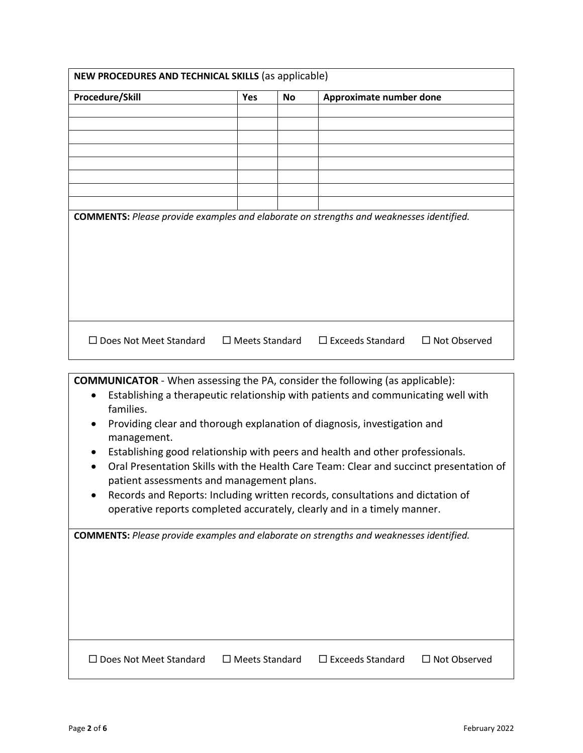| Procedure/Skill                                                                                                               | <b>Yes</b>               | <b>No</b> | Approximate number done                                                                                                                                                                                                                                                                                                              |                     |
|-------------------------------------------------------------------------------------------------------------------------------|--------------------------|-----------|--------------------------------------------------------------------------------------------------------------------------------------------------------------------------------------------------------------------------------------------------------------------------------------------------------------------------------------|---------------------|
|                                                                                                                               |                          |           |                                                                                                                                                                                                                                                                                                                                      |                     |
|                                                                                                                               |                          |           |                                                                                                                                                                                                                                                                                                                                      |                     |
|                                                                                                                               |                          |           |                                                                                                                                                                                                                                                                                                                                      |                     |
|                                                                                                                               |                          |           |                                                                                                                                                                                                                                                                                                                                      |                     |
|                                                                                                                               |                          |           |                                                                                                                                                                                                                                                                                                                                      |                     |
|                                                                                                                               |                          |           |                                                                                                                                                                                                                                                                                                                                      |                     |
| <b>COMMENTS:</b> Please provide examples and elaborate on strengths and weaknesses identified.                                |                          |           |                                                                                                                                                                                                                                                                                                                                      |                     |
| $\Box$ Does Not Meet Standard                                                                                                 | $\Box$ Meets Standard    |           | $\Box$ Exceeds Standard                                                                                                                                                                                                                                                                                                              | $\Box$ Not Observed |
| <b>COMMUNICATOR</b> - When assessing the PA, consider the following (as applicable):<br>$\bullet$<br>families.<br>management. |                          |           | Establishing a therapeutic relationship with patients and communicating well with<br>Providing clear and thorough explanation of diagnosis, investigation and                                                                                                                                                                        |                     |
| $\bullet$<br>patient assessments and management plans.                                                                        |                          |           | Establishing good relationship with peers and health and other professionals.<br>Oral Presentation Skills with the Health Care Team: Clear and succinct presentation of<br>Records and Reports: Including written records, consultations and dictation of<br>operative reports completed accurately, clearly and in a timely manner. |                     |
| <b>COMMENTS:</b> Please provide examples and elaborate on strengths and weaknesses identified.                                |                          |           |                                                                                                                                                                                                                                                                                                                                      |                     |
| □ Does Not Meet Standard                                                                                                      | $\square$ Meets Standard |           | $\square$ Exceeds Standard                                                                                                                                                                                                                                                                                                           | □ Not Observed      |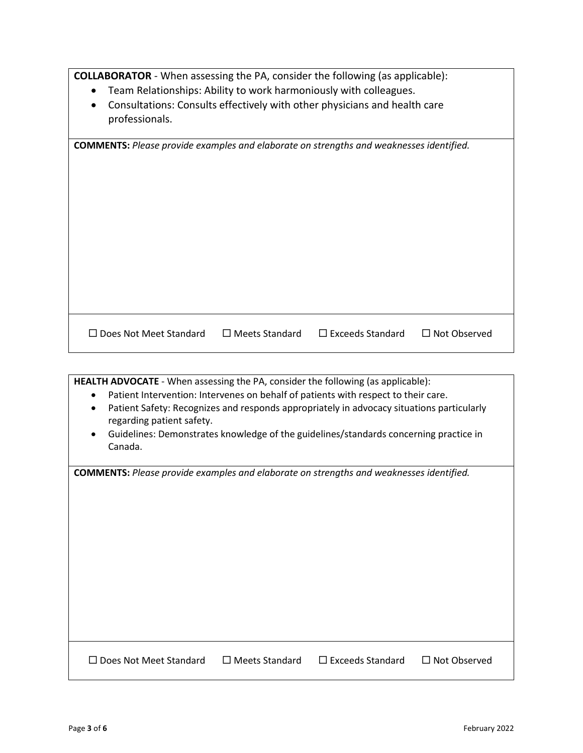**COLLABORATOR** - When assessing the PA, consider the following (as applicable):

- Team Relationships: Ability to work harmoniously with colleagues.
- Consultations: Consults effectively with other physicians and health care professionals.

| <b>COMMENTS:</b> Please provide examples and elaborate on strengths and weaknesses identified.<br>$\Box$ Meets Standard<br>$\Box$ Exceeds Standard<br>$\Box$ Not Observed<br>$\Box$ Does Not Meet Standard |  |  |
|------------------------------------------------------------------------------------------------------------------------------------------------------------------------------------------------------------|--|--|
|                                                                                                                                                                                                            |  |  |
|                                                                                                                                                                                                            |  |  |
|                                                                                                                                                                                                            |  |  |
|                                                                                                                                                                                                            |  |  |
|                                                                                                                                                                                                            |  |  |
|                                                                                                                                                                                                            |  |  |
|                                                                                                                                                                                                            |  |  |
|                                                                                                                                                                                                            |  |  |
|                                                                                                                                                                                                            |  |  |
|                                                                                                                                                                                                            |  |  |
|                                                                                                                                                                                                            |  |  |
|                                                                                                                                                                                                            |  |  |
|                                                                                                                                                                                                            |  |  |

| <b>HEALTH ADVOCATE</b> - When assessing the PA, consider the following (as applicable):                  |  |  |  |
|----------------------------------------------------------------------------------------------------------|--|--|--|
| Patient Intervention: Intervenes on behalf of patients with respect to their care.<br>$\bullet$          |  |  |  |
| Patient Safety: Recognizes and responds appropriately in advocacy situations particularly<br>$\bullet$   |  |  |  |
| regarding patient safety.                                                                                |  |  |  |
| Guidelines: Demonstrates knowledge of the guidelines/standards concerning practice in<br>٠               |  |  |  |
| Canada.                                                                                                  |  |  |  |
|                                                                                                          |  |  |  |
| <b>COMMENTS:</b> Please provide examples and elaborate on strengths and weaknesses identified.           |  |  |  |
|                                                                                                          |  |  |  |
|                                                                                                          |  |  |  |
|                                                                                                          |  |  |  |
|                                                                                                          |  |  |  |
|                                                                                                          |  |  |  |
|                                                                                                          |  |  |  |
|                                                                                                          |  |  |  |
|                                                                                                          |  |  |  |
|                                                                                                          |  |  |  |
|                                                                                                          |  |  |  |
|                                                                                                          |  |  |  |
|                                                                                                          |  |  |  |
|                                                                                                          |  |  |  |
| $\Box$ Meets Standard<br>$\Box$ Exceeds Standard<br>$\Box$ Not Observed<br>$\Box$ Does Not Meet Standard |  |  |  |
|                                                                                                          |  |  |  |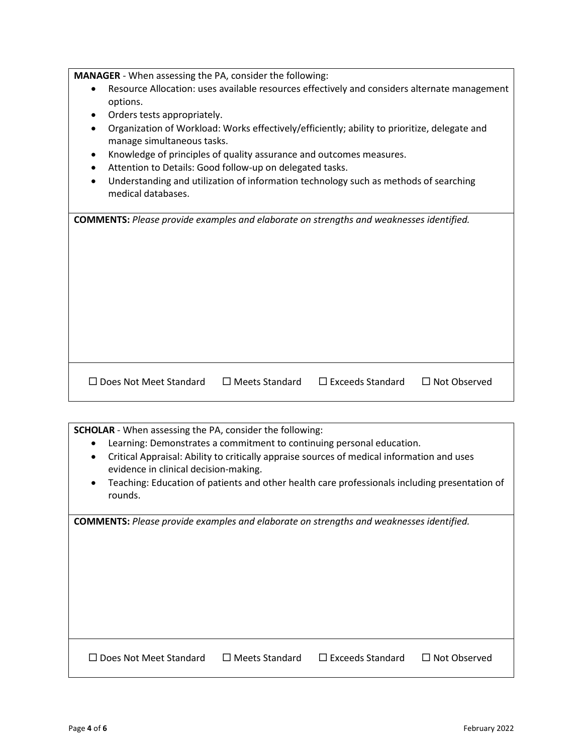**MANAGER** - When assessing the PA, consider the following:

- Resource Allocation: uses available resources effectively and considers alternate management options.
- Orders tests appropriately.
- Organization of Workload: Works effectively/efficiently; ability to prioritize, delegate and manage simultaneous tasks.
- Knowledge of principles of quality assurance and outcomes measures.
- Attention to Details: Good follow-up on delegated tasks.
- Understanding and utilization of information technology such as methods of searching medical databases.

| <b>COMMENTS:</b> Please provide examples and elaborate on strengths and weaknesses identified. |  |
|------------------------------------------------------------------------------------------------|--|
|------------------------------------------------------------------------------------------------|--|

□ Does Not Meet Standard D Meets Standard D Exceeds Standard D Not Observed

**SCHOLAR** - When assessing the PA, consider the following: • Learning: Demonstrates a commitment to continuing personal education. • Critical Appraisal: Ability to critically appraise sources of medical information and uses evidence in clinical decision-making. • Teaching: Education of patients and other health care professionals including presentation of rounds. **COMMENTS:** *Please provide examples and elaborate on strengths and weaknesses identified.*  Does Not Meet Standard Meets Standard Exceeds Standard Not Observed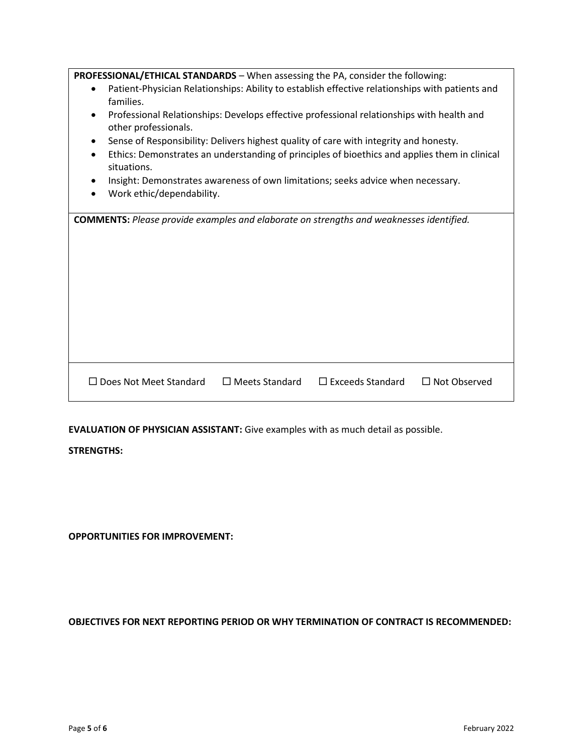| <b>PROFESSIONAL/ETHICAL STANDARDS</b> - When assessing the PA, consider the following:                                         |
|--------------------------------------------------------------------------------------------------------------------------------|
| Patient-Physician Relationships: Ability to establish effective relationships with patients and<br>$\bullet$<br>families.      |
| Professional Relationships: Develops effective professional relationships with health and<br>$\bullet$<br>other professionals. |
| Sense of Responsibility: Delivers highest quality of care with integrity and honesty.                                          |
| Ethics: Demonstrates an understanding of principles of bioethics and applies them in clinical<br>situations.                   |
| Insight: Demonstrates awareness of own limitations; seeks advice when necessary.                                               |
| Work ethic/dependability.                                                                                                      |
| <b>COMMENTS:</b> Please provide examples and elaborate on strengths and weaknesses identified.                                 |
|                                                                                                                                |
| $\Box$ Does Not Meet Standard<br>$\Box$ Meets Standard<br>$\Box$ Exceeds Standard<br>$\Box$ Not Observed                       |

**EVALUATION OF PHYSICIAN ASSISTANT:** Give examples with as much detail as possible.

## **STRENGTHS:**

**OPPORTUNITIES FOR IMPROVEMENT:**

**OBJECTIVES FOR NEXT REPORTING PERIOD OR WHY TERMINATION OF CONTRACT IS RECOMMENDED:**